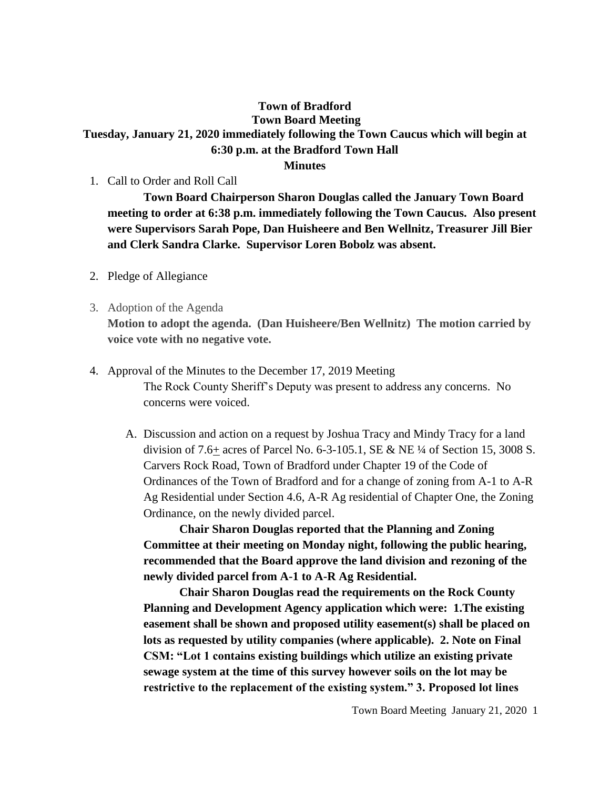## **Town of Bradford Town Board Meeting Tuesday, January 21, 2020 immediately following the Town Caucus which will begin at 6:30 p.m. at the Bradford Town Hall**

## **Minutes**

1. Call to Order and Roll Call

**Town Board Chairperson Sharon Douglas called the January Town Board meeting to order at 6:38 p.m. immediately following the Town Caucus. Also present were Supervisors Sarah Pope, Dan Huisheere and Ben Wellnitz, Treasurer Jill Bier and Clerk Sandra Clarke. Supervisor Loren Bobolz was absent.**

- 2. Pledge of Allegiance
- 3. Adoption of the Agenda

**Motion to adopt the agenda. (Dan Huisheere/Ben Wellnitz) The motion carried by voice vote with no negative vote.**

- 4. Approval of the Minutes to the December 17, 2019 Meeting The Rock County Sheriff's Deputy was present to address any concerns. No concerns were voiced.
	- A. Discussion and action on a request by Joshua Tracy and Mindy Tracy for a land division of 7.6+ acres of Parcel No. 6-3-105.1, SE & NE  $\frac{1}{4}$  of Section 15, 3008 S. Carvers Rock Road, Town of Bradford under Chapter 19 of the Code of Ordinances of the Town of Bradford and for a change of zoning from A-1 to A-R Ag Residential under Section 4.6, A-R Ag residential of Chapter One, the Zoning Ordinance, on the newly divided parcel.

**Chair Sharon Douglas reported that the Planning and Zoning Committee at their meeting on Monday night, following the public hearing, recommended that the Board approve the land division and rezoning of the newly divided parcel from A-1 to A-R Ag Residential.**

**Chair Sharon Douglas read the requirements on the Rock County Planning and Development Agency application which were: 1.The existing easement shall be shown and proposed utility easement(s) shall be placed on lots as requested by utility companies (where applicable). 2. Note on Final CSM: "Lot 1 contains existing buildings which utilize an existing private sewage system at the time of this survey however soils on the lot may be restrictive to the replacement of the existing system." 3. Proposed lot lines**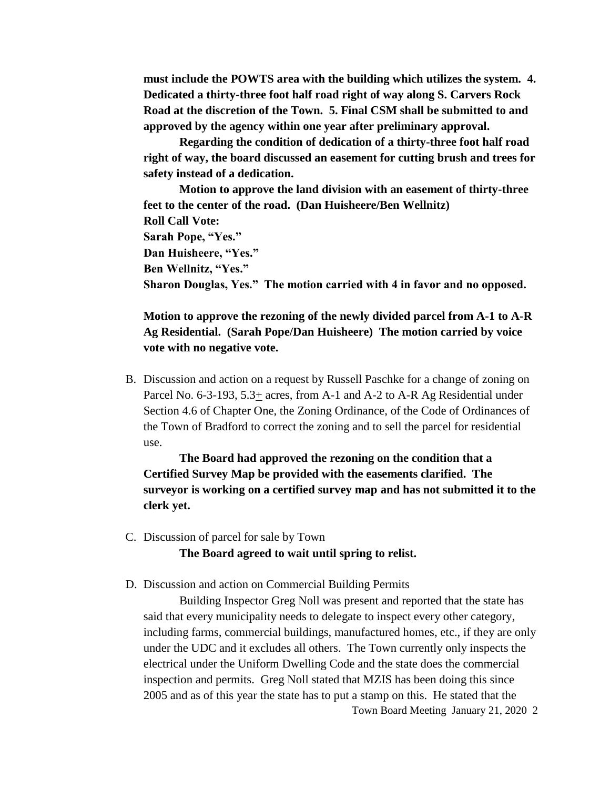**must include the POWTS area with the building which utilizes the system. 4. Dedicated a thirty-three foot half road right of way along S. Carvers Rock Road at the discretion of the Town. 5. Final CSM shall be submitted to and approved by the agency within one year after preliminary approval.**

**Regarding the condition of dedication of a thirty-three foot half road right of way, the board discussed an easement for cutting brush and trees for safety instead of a dedication.**

**Motion to approve the land division with an easement of thirty-three feet to the center of the road. (Dan Huisheere/Ben Wellnitz) Roll Call Vote: Sarah Pope, "Yes." Dan Huisheere, "Yes." Ben Wellnitz, "Yes." Sharon Douglas, Yes." The motion carried with 4 in favor and no opposed.**

**Motion to approve the rezoning of the newly divided parcel from A-1 to A-R Ag Residential. (Sarah Pope/Dan Huisheere) The motion carried by voice vote with no negative vote.**

B. Discussion and action on a request by Russell Paschke for a change of zoning on Parcel No. 6-3-193, 5.3+ acres, from A-1 and A-2 to A-R Ag Residential under Section 4.6 of Chapter One, the Zoning Ordinance, of the Code of Ordinances of the Town of Bradford to correct the zoning and to sell the parcel for residential use.

**The Board had approved the rezoning on the condition that a Certified Survey Map be provided with the easements clarified. The surveyor is working on a certified survey map and has not submitted it to the clerk yet.**

C. Discussion of parcel for sale by Town

**The Board agreed to wait until spring to relist.**

D. Discussion and action on Commercial Building Permits

Town Board Meeting January 21, 2020 2 Building Inspector Greg Noll was present and reported that the state has said that every municipality needs to delegate to inspect every other category, including farms, commercial buildings, manufactured homes, etc., if they are only under the UDC and it excludes all others. The Town currently only inspects the electrical under the Uniform Dwelling Code and the state does the commercial inspection and permits. Greg Noll stated that MZIS has been doing this since 2005 and as of this year the state has to put a stamp on this. He stated that the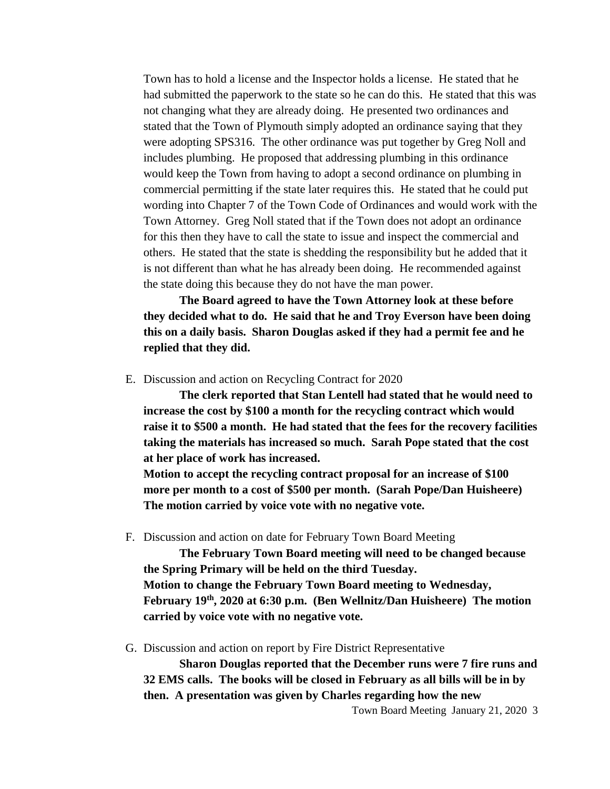Town has to hold a license and the Inspector holds a license. He stated that he had submitted the paperwork to the state so he can do this. He stated that this was not changing what they are already doing. He presented two ordinances and stated that the Town of Plymouth simply adopted an ordinance saying that they were adopting SPS316. The other ordinance was put together by Greg Noll and includes plumbing. He proposed that addressing plumbing in this ordinance would keep the Town from having to adopt a second ordinance on plumbing in commercial permitting if the state later requires this. He stated that he could put wording into Chapter 7 of the Town Code of Ordinances and would work with the Town Attorney. Greg Noll stated that if the Town does not adopt an ordinance for this then they have to call the state to issue and inspect the commercial and others. He stated that the state is shedding the responsibility but he added that it is not different than what he has already been doing. He recommended against the state doing this because they do not have the man power.

**The Board agreed to have the Town Attorney look at these before they decided what to do. He said that he and Troy Everson have been doing this on a daily basis. Sharon Douglas asked if they had a permit fee and he replied that they did.**

E. Discussion and action on Recycling Contract for 2020

**The clerk reported that Stan Lentell had stated that he would need to increase the cost by \$100 a month for the recycling contract which would raise it to \$500 a month. He had stated that the fees for the recovery facilities taking the materials has increased so much. Sarah Pope stated that the cost at her place of work has increased.** 

**Motion to accept the recycling contract proposal for an increase of \$100 more per month to a cost of \$500 per month. (Sarah Pope/Dan Huisheere) The motion carried by voice vote with no negative vote.**

F. Discussion and action on date for February Town Board Meeting

**The February Town Board meeting will need to be changed because the Spring Primary will be held on the third Tuesday. Motion to change the February Town Board meeting to Wednesday, February 19th, 2020 at 6:30 p.m. (Ben Wellnitz/Dan Huisheere) The motion carried by voice vote with no negative vote.**

G. Discussion and action on report by Fire District Representative

**Sharon Douglas reported that the December runs were 7 fire runs and 32 EMS calls. The books will be closed in February as all bills will be in by then. A presentation was given by Charles regarding how the new** 

Town Board Meeting January 21, 2020 3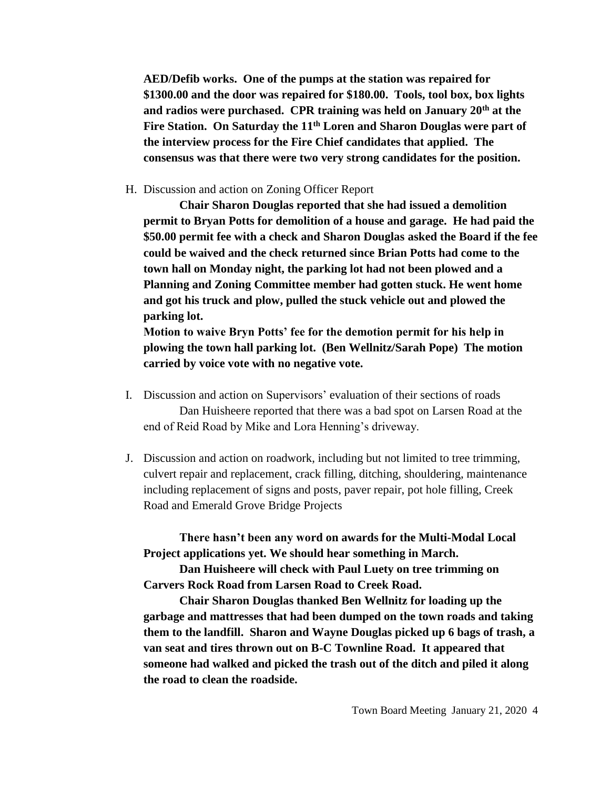**AED/Defib works. One of the pumps at the station was repaired for \$1300.00 and the door was repaired for \$180.00. Tools, tool box, box lights and radios were purchased. CPR training was held on January 20th at the Fire Station. On Saturday the 11th Loren and Sharon Douglas were part of the interview process for the Fire Chief candidates that applied. The consensus was that there were two very strong candidates for the position.**

H. Discussion and action on Zoning Officer Report

**Chair Sharon Douglas reported that she had issued a demolition permit to Bryan Potts for demolition of a house and garage. He had paid the \$50.00 permit fee with a check and Sharon Douglas asked the Board if the fee could be waived and the check returned since Brian Potts had come to the town hall on Monday night, the parking lot had not been plowed and a Planning and Zoning Committee member had gotten stuck. He went home and got his truck and plow, pulled the stuck vehicle out and plowed the parking lot.** 

**Motion to waive Bryn Potts' fee for the demotion permit for his help in plowing the town hall parking lot. (Ben Wellnitz/Sarah Pope) The motion carried by voice vote with no negative vote.**

- I. Discussion and action on Supervisors' evaluation of their sections of roads Dan Huisheere reported that there was a bad spot on Larsen Road at the end of Reid Road by Mike and Lora Henning's driveway.
- J. Discussion and action on roadwork, including but not limited to tree trimming, culvert repair and replacement, crack filling, ditching, shouldering, maintenance including replacement of signs and posts, paver repair, pot hole filling, Creek Road and Emerald Grove Bridge Projects

**There hasn't been any word on awards for the Multi-Modal Local Project applications yet. We should hear something in March.**

**Dan Huisheere will check with Paul Luety on tree trimming on Carvers Rock Road from Larsen Road to Creek Road.**

**Chair Sharon Douglas thanked Ben Wellnitz for loading up the garbage and mattresses that had been dumped on the town roads and taking them to the landfill. Sharon and Wayne Douglas picked up 6 bags of trash, a van seat and tires thrown out on B-C Townline Road. It appeared that someone had walked and picked the trash out of the ditch and piled it along the road to clean the roadside.**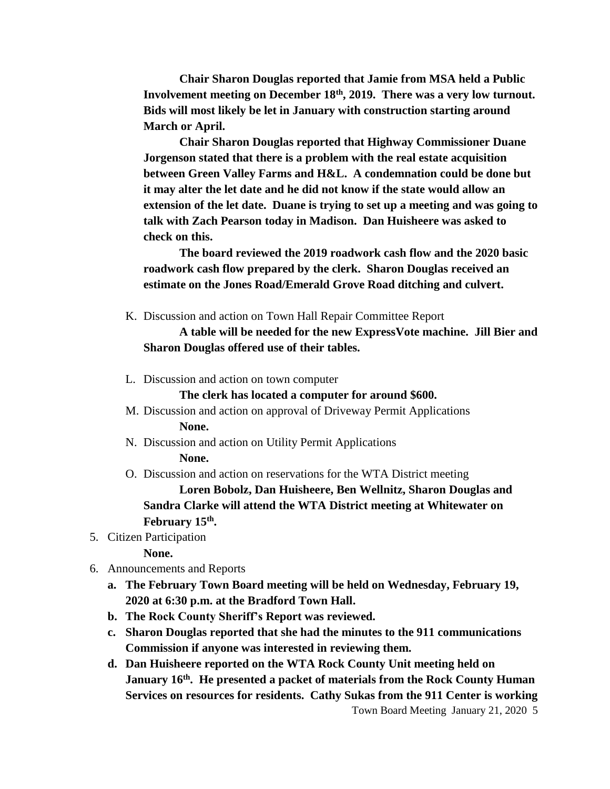**Chair Sharon Douglas reported that Jamie from MSA held a Public Involvement meeting on December 18th, 2019. There was a very low turnout. Bids will most likely be let in January with construction starting around March or April.** 

**Chair Sharon Douglas reported that Highway Commissioner Duane Jorgenson stated that there is a problem with the real estate acquisition between Green Valley Farms and H&L. A condemnation could be done but it may alter the let date and he did not know if the state would allow an extension of the let date. Duane is trying to set up a meeting and was going to talk with Zach Pearson today in Madison. Dan Huisheere was asked to check on this.**

**The board reviewed the 2019 roadwork cash flow and the 2020 basic roadwork cash flow prepared by the clerk. Sharon Douglas received an estimate on the Jones Road/Emerald Grove Road ditching and culvert.** 

K. Discussion and action on Town Hall Repair Committee Report

## **A table will be needed for the new ExpressVote machine. Jill Bier and Sharon Douglas offered use of their tables.**

L. Discussion and action on town computer

**The clerk has located a computer for around \$600.**

- M. Discussion and action on approval of Driveway Permit Applications **None.**
- N. Discussion and action on Utility Permit Applications **None.**
- O. Discussion and action on reservations for the WTA District meeting

**Loren Bobolz, Dan Huisheere, Ben Wellnitz, Sharon Douglas and Sandra Clarke will attend the WTA District meeting at Whitewater on February 15th .**

5. Citizen Participation

**None.**

- 6. Announcements and Reports
	- **a. The February Town Board meeting will be held on Wednesday, February 19, 2020 at 6:30 p.m. at the Bradford Town Hall.**
	- **b. The Rock County Sheriff's Report was reviewed.**
	- **c. Sharon Douglas reported that she had the minutes to the 911 communications Commission if anyone was interested in reviewing them.**
	- **d. Dan Huisheere reported on the WTA Rock County Unit meeting held on January 16th. He presented a packet of materials from the Rock County Human Services on resources for residents. Cathy Sukas from the 911 Center is working**

Town Board Meeting January 21, 2020 5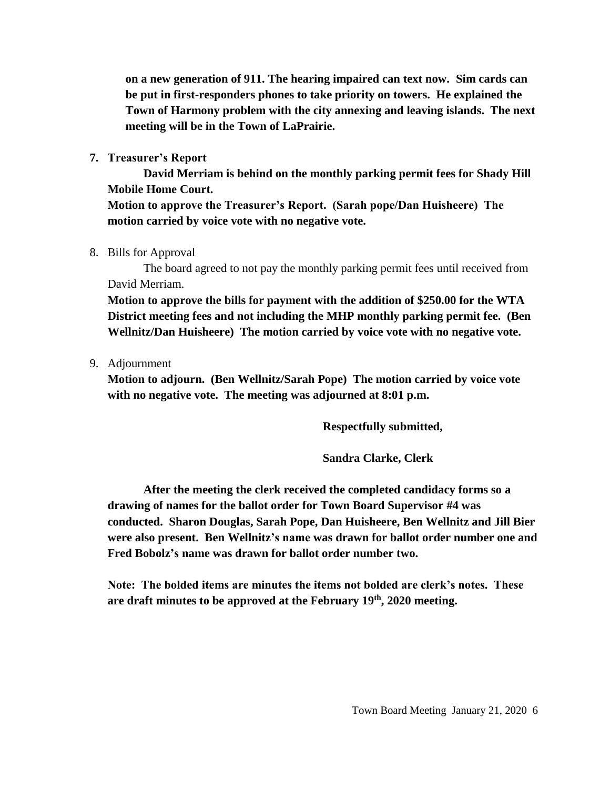**on a new generation of 911. The hearing impaired can text now. Sim cards can be put in first-responders phones to take priority on towers. He explained the Town of Harmony problem with the city annexing and leaving islands. The next meeting will be in the Town of LaPrairie.**

**7. Treasurer's Report**

**David Merriam is behind on the monthly parking permit fees for Shady Hill Mobile Home Court.**

**Motion to approve the Treasurer's Report. (Sarah pope/Dan Huisheere) The motion carried by voice vote with no negative vote.**

8. Bills for Approval

The board agreed to not pay the monthly parking permit fees until received from David Merriam.

**Motion to approve the bills for payment with the addition of \$250.00 for the WTA District meeting fees and not including the MHP monthly parking permit fee. (Ben Wellnitz/Dan Huisheere) The motion carried by voice vote with no negative vote.**

9. Adjournment

**Motion to adjourn. (Ben Wellnitz/Sarah Pope) The motion carried by voice vote with no negative vote. The meeting was adjourned at 8:01 p.m.**

**Respectfully submitted,**

**Sandra Clarke, Clerk**

**After the meeting the clerk received the completed candidacy forms so a drawing of names for the ballot order for Town Board Supervisor #4 was conducted. Sharon Douglas, Sarah Pope, Dan Huisheere, Ben Wellnitz and Jill Bier were also present. Ben Wellnitz's name was drawn for ballot order number one and Fred Bobolz's name was drawn for ballot order number two.**

**Note: The bolded items are minutes the items not bolded are clerk's notes. These are draft minutes to be approved at the February 19th, 2020 meeting.**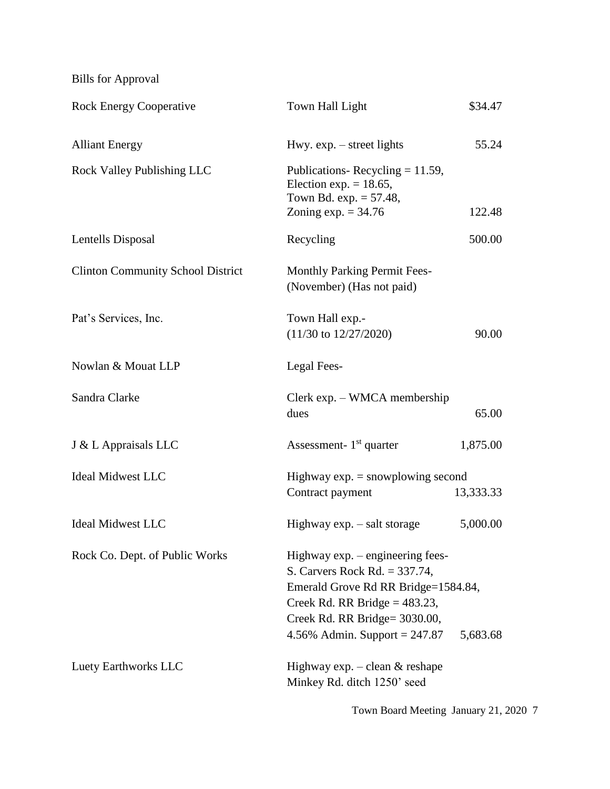Bills for Approval

| <b>Rock Energy Cooperative</b>           | Town Hall Light<br>\$34.47                                                                                                                                                                                                      |           |  |
|------------------------------------------|---------------------------------------------------------------------------------------------------------------------------------------------------------------------------------------------------------------------------------|-----------|--|
| <b>Alliant Energy</b>                    | Hwy. $exp. - street$ lights<br>55.24                                                                                                                                                                                            |           |  |
| <b>Rock Valley Publishing LLC</b>        | Publications-Recycling $= 11.59$ ,<br>Election exp. $= 18.65$ ,<br>Town Bd. $exp. = 57.48$ ,<br>Zoning $exp. = 34.76$<br>122.48                                                                                                 |           |  |
| Lentells Disposal                        | Recycling<br>500.00                                                                                                                                                                                                             |           |  |
| <b>Clinton Community School District</b> | <b>Monthly Parking Permit Fees-</b><br>(November) (Has not paid)                                                                                                                                                                |           |  |
| Pat's Services, Inc.                     | Town Hall exp.-<br>$(11/30 \text{ to } 12/27/2020)$<br>90.00                                                                                                                                                                    |           |  |
| Nowlan & Mouat LLP                       | Legal Fees-                                                                                                                                                                                                                     |           |  |
| Sandra Clarke                            | Clerk exp. - WMCA membership<br>dues<br>65.00                                                                                                                                                                                   |           |  |
| J & L Appraisals LLC                     | Assessment- $1st$ quarter                                                                                                                                                                                                       | 1,875.00  |  |
| <b>Ideal Midwest LLC</b>                 | Highway $exp =$ snowplowing second                                                                                                                                                                                              |           |  |
|                                          | Contract payment                                                                                                                                                                                                                | 13,333.33 |  |
| <b>Ideal Midwest LLC</b>                 | Highway $exp. - salt$ storage                                                                                                                                                                                                   | 5,000.00  |  |
| Rock Co. Dept. of Public Works           | Highway exp. – engineering fees-<br>S. Carvers Rock Rd. $= 337.74$ ,<br>Emerald Grove Rd RR Bridge=1584.84,<br>Creek Rd. RR Bridge = $483.23$ ,<br>Creek Rd. RR Bridge= 3030.00,<br>4.56% Admin. Support = $247.87$<br>5,683.68 |           |  |
| Luety Earthworks LLC                     | Highway $\exp$ . - clean & reshape<br>Minkey Rd. ditch 1250' seed                                                                                                                                                               |           |  |

Town Board Meeting January 21, 2020 7